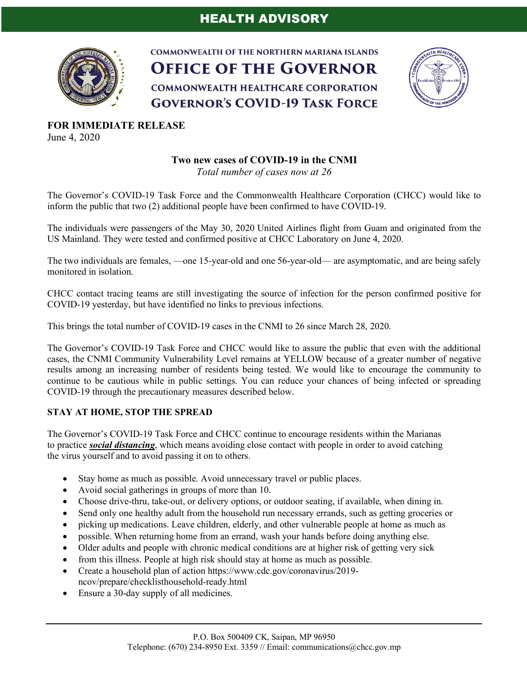## HEALTH ADVISORY



**COMMONWEALTH OF THE NORTHERN MARIANA ISLANDS OFFICE OF THE GOVERNOR COMMONWEALTH HEALTHCARE CORPORATION GOVERNOR'S COVID-19 TASK FORCE** 



**FOR IMMEDIATE RELEASE** June 4, 2020

## **Two new cases of COVID-19 in the CNMI**

*Total number of cases now at 26*

The Governor's COVID-19 Task Force and the Commonwealth Healthcare Corporation (CHCC) would like to inform the public that two (2) additional people have been confirmed to have COVID-19.

The individuals were passengers of the May 30, 2020 United Airlines flight from Guam and originated from the US Mainland. They were tested and confirmed positive at CHCC Laboratory on June 4, 2020.

The two individuals are females, —one 15-year-old and one 56-year-old— are asymptomatic, and are being safely monitored in isolation.

CHCC contact tracing teams are still investigating the source of infection for the person confirmed positive for COVID-19 yesterday, but have identified no links to previous infections.

This brings the total number of COVID-19 cases in the CNMI to 26 since March 28, 2020.

The Governor's COVID-19 Task Force and CHCC would like to assure the public that even with the additional cases, the CNMI Community Vulnerability Level remains at YELLOW because of a greater number of negative results among an increasing number of residents being tested. We would like to encourage the community to continue to be cautious while in public settings. You can reduce your chances of being infected or spreading COVID-19 through the precautionary measures described below.

## **STAY AT HOME, STOP THE SPREAD**

The Governor's COVID-19 Task Force and CHCC continue to encourage residents within the Marianas to practice *social distancing*, which means avoiding close contact with people in order to avoid catching the virus yourself and to avoid passing it on to others.

- Stay home as much as possible. Avoid unnecessary travel or public places.
- Avoid social gatherings in groups of more than 10.
- Choose drive-thru, take-out, or delivery options, or outdoor seating, if available, when dining in.
- Send only one healthy adult from the household run necessary errands, such as getting groceries or
- picking up medications. Leave children, elderly, and other vulnerable people at home as much as
- possible. When returning home from an errand, wash your hands before doing anything else.
- Older adults and people with chronic medical conditions are at higher risk of getting very sick
- from this illness. People at high risk should stay at home as much as possible.
- Create a household plan of action https://www.cdc.gov/coronavirus/2019ncov/prepare/checklisthousehold-ready.html
- Ensure a 30-day supply of all medicines.